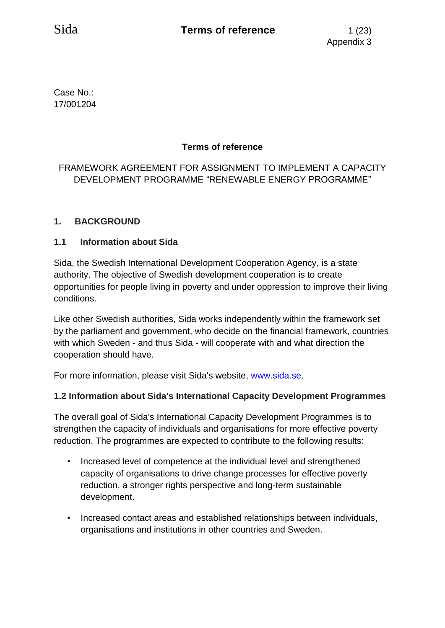Case No.: 17/001204

# **Terms of reference**

# FRAMEWORK AGREEMENT FOR ASSIGNMENT TO IMPLEMENT A CAPACITY DEVELOPMENT PROGRAMME "RENEWABLE ENERGY PROGRAMME"

## **1. BACKGROUND**

#### **1.1 Information about Sida**

Sida, the Swedish International Development Cooperation Agency, is a state authority. The objective of Swedish development cooperation is to create opportunities for people living in poverty and under oppression to improve their living conditions.

Like other Swedish authorities, Sida works independently within the framework set by the parliament and government, who decide on the financial framework, countries with which Sweden - and thus Sida - will cooperate with and what direction the cooperation should have.

For more information, please visit Sida's website, [www.sida.se.](http://www.sida.se/)

#### **1.2 Information about Sida's International Capacity Development Programmes**

The overall goal of Sida's International Capacity Development Programmes is to strengthen the capacity of individuals and organisations for more effective poverty reduction. The programmes are expected to contribute to the following results:

- Increased level of competence at the individual level and strengthened capacity of organisations to drive change processes for effective poverty reduction, a stronger rights perspective and long-term sustainable development.
- Increased contact areas and established relationships between individuals, organisations and institutions in other countries and Sweden.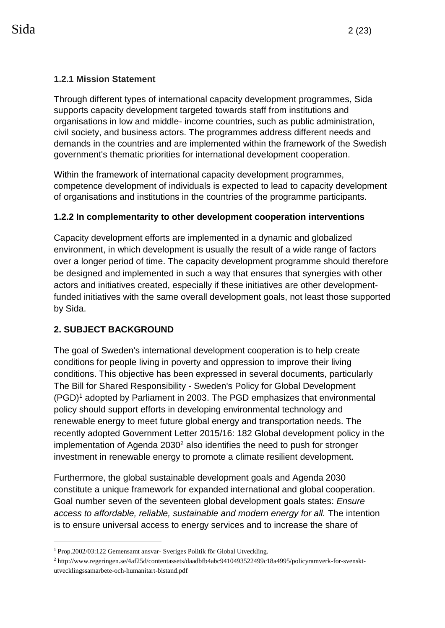## **1.2.1 Mission Statement**

Through different types of international capacity development programmes, Sida supports capacity development targeted towards staff from institutions and organisations in low and middle- income countries, such as public administration, civil society, and business actors. The programmes address different needs and demands in the countries and are implemented within the framework of the Swedish government's thematic priorities for international development cooperation.

Within the framework of international capacity development programmes, competence development of individuals is expected to lead to capacity development of organisations and institutions in the countries of the programme participants.

## **1.2.2 In complementarity to other development cooperation interventions**

Capacity development efforts are implemented in a dynamic and globalized environment, in which development is usually the result of a wide range of factors over a longer period of time. The capacity development programme should therefore be designed and implemented in such a way that ensures that synergies with other actors and initiatives created, especially if these initiatives are other developmentfunded initiatives with the same overall development goals, not least those supported by Sida.

# **2. SUBJECT BACKGROUND**

1

The goal of Sweden's international development cooperation is to help create conditions for people living in poverty and oppression to improve their living conditions. This objective has been expressed in several documents, particularly The Bill for Shared Responsibility - Sweden's Policy for Global Development (PGD)<sup>1</sup> adopted by Parliament in 2003. The PGD emphasizes that environmental policy should support efforts in developing environmental technology and renewable energy to meet future global energy and transportation needs. The recently adopted Government Letter 2015/16: 182 Global development policy in the implementation of Agenda  $2030<sup>2</sup>$  also identifies the need to push for stronger investment in renewable energy to promote a climate resilient development.

Furthermore, the global sustainable development goals and Agenda 2030 constitute a unique framework for expanded international and global cooperation. Goal number seven of the seventeen global development goals states: *Ensure access to affordable, reliable, sustainable and modern energy for all.* The intention is to ensure universal access to energy services and to increase the share of

<sup>1</sup> Prop.2002/03:122 Gemensamt ansvar- Sveriges Politik för Global Utveckling.

<sup>2</sup> http://www.regeringen.se/4af25d/contentassets/daadbfb4abc9410493522499c18a4995/policyramverk-for-svensktutvecklingssamarbete-och-humanitart-bistand.pdf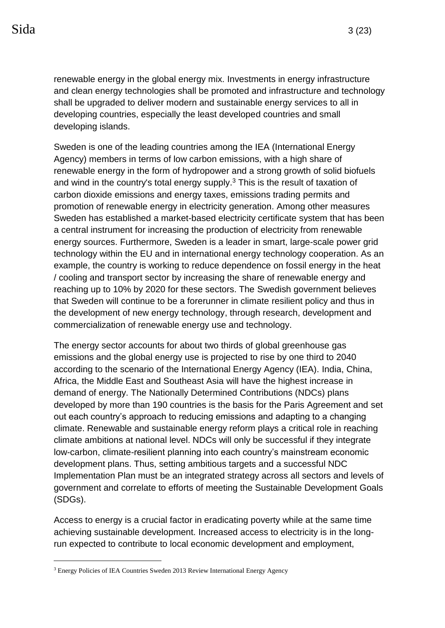renewable energy in the global energy mix. Investments in energy infrastructure and clean energy technologies shall be promoted and infrastructure and technology shall be upgraded to deliver modern and sustainable energy services to all in developing countries, especially the least developed countries and small developing islands.

Sweden is one of the leading countries among the IEA (International Energy Agency) members in terms of low carbon emissions, with a high share of renewable energy in the form of hydropower and a strong growth of solid biofuels and wind in the country's total energy supply. $3$  This is the result of taxation of carbon dioxide emissions and energy taxes, emissions trading permits and promotion of renewable energy in electricity generation. Among other measures Sweden has established a market-based electricity certificate system that has been a central instrument for increasing the production of electricity from renewable energy sources. Furthermore, Sweden is a leader in smart, large-scale power grid technology within the EU and in international energy technology cooperation. As an example, the country is working to reduce dependence on fossil energy in the heat / cooling and transport sector by increasing the share of renewable energy and reaching up to 10% by 2020 for these sectors. The Swedish government believes that Sweden will continue to be a forerunner in climate resilient policy and thus in the development of new energy technology, through research, development and commercialization of renewable energy use and technology.

The energy sector accounts for about two thirds of global greenhouse gas emissions and the global energy use is projected to rise by one third to 2040 according to the scenario of the International Energy Agency (IEA). India, China, Africa, the Middle East and Southeast Asia will have the highest increase in demand of energy. The Nationally Determined Contributions (NDCs) plans developed by more than 190 countries is the basis for the Paris Agreement and set out each country's approach to reducing emissions and adapting to a changing climate. Renewable and sustainable energy reform plays a critical role in reaching climate ambitions at national level. NDCs will only be successful if they integrate low-carbon, climate-resilient planning into each country's mainstream economic development plans. Thus, setting ambitious targets and a successful NDC Implementation Plan must be an integrated strategy across all sectors and levels of government and correlate to efforts of meeting the Sustainable Development Goals (SDGs).

Access to energy is a crucial factor in eradicating poverty while at the same time achieving sustainable development. Increased access to electricity is in the longrun expected to contribute to local economic development and employment,

1

<sup>&</sup>lt;sup>3</sup> Energy Policies of IEA Countries Sweden 2013 Review International Energy Agency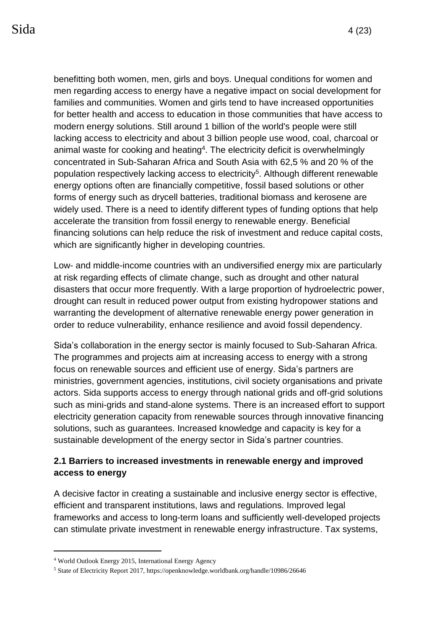benefitting both women, men, girls and boys. Unequal conditions for women and men regarding access to energy have a negative impact on social development for families and communities. Women and girls tend to have increased opportunities for better health and access to education in those communities that have access to modern energy solutions. Still around 1 billion of the world's people were still lacking access to electricity and about 3 billion people use wood, coal, charcoal or animal waste for cooking and heating<sup>4</sup>. The electricity deficit is overwhelmingly concentrated in Sub-Saharan Africa and South Asia with 62,5 % and 20 % of the population respectively lacking access to electricity<sup>5</sup>. Although different renewable energy options often are financially competitive, fossil based solutions or other forms of energy such as drycell batteries, traditional biomass and kerosene are widely used. There is a need to identify different types of funding options that help accelerate the transition from fossil energy to renewable energy. Beneficial financing solutions can help reduce the risk of investment and reduce capital costs, which are significantly higher in developing countries.

Low- and middle-income countries with an undiversified energy mix are particularly at risk regarding effects of climate change, such as drought and other natural disasters that occur more frequently. With a large proportion of hydroelectric power, drought can result in reduced power output from existing hydropower stations and warranting the development of alternative renewable energy power generation in order to reduce vulnerability, enhance resilience and avoid fossil dependency.

Sida's collaboration in the energy sector is mainly focused to Sub-Saharan Africa. The programmes and projects aim at increasing access to energy with a strong focus on renewable sources and efficient use of energy. Sida's partners are ministries, government agencies, institutions, civil society organisations and private actors. Sida supports access to energy through national grids and off-grid solutions such as mini-grids and stand-alone systems. There is an increased effort to support electricity generation capacity from renewable sources through innovative financing solutions, such as guarantees. Increased knowledge and capacity is key for a sustainable development of the energy sector in Sida's partner countries.

# **2.1 Barriers to increased investments in renewable energy and improved access to energy**

A decisive factor in creating a sustainable and inclusive energy sector is effective, efficient and transparent institutions, laws and regulations. Improved legal frameworks and access to long-term loans and sufficiently well-developed projects can stimulate private investment in renewable energy infrastructure. Tax systems,

1

<sup>4</sup> World Outlook Energy 2015, International Energy Agency

<sup>5</sup> State of Electricity Report 2017, https://openknowledge.worldbank.org/handle/10986/26646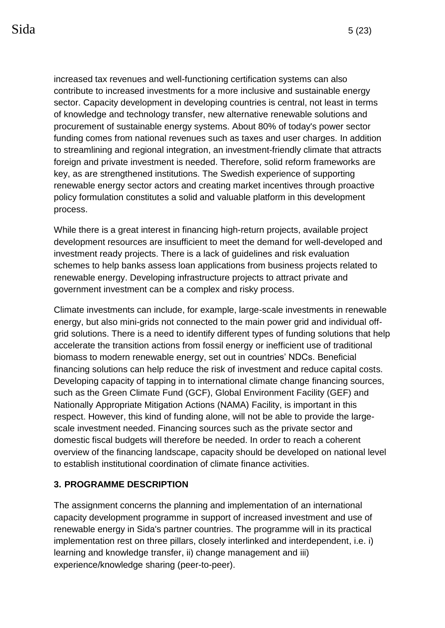increased tax revenues and well-functioning certification systems can also contribute to increased investments for a more inclusive and sustainable energy sector. Capacity development in developing countries is central, not least in terms of knowledge and technology transfer, new alternative renewable solutions and procurement of sustainable energy systems. About 80% of today's power sector funding comes from national revenues such as taxes and user charges. In addition to streamlining and regional integration, an investment-friendly climate that attracts foreign and private investment is needed. Therefore, solid reform frameworks are key, as are strengthened institutions. The Swedish experience of supporting renewable energy sector actors and creating market incentives through proactive policy formulation constitutes a solid and valuable platform in this development process.

While there is a great interest in financing high-return projects, available project development resources are insufficient to meet the demand for well-developed and investment ready projects. There is a lack of guidelines and risk evaluation schemes to help banks assess loan applications from business projects related to renewable energy. Developing infrastructure projects to attract private and government investment can be a complex and risky process.

Climate investments can include, for example, large-scale investments in renewable energy, but also mini-grids not connected to the main power grid and individual offgrid solutions. There is a need to identify different types of funding solutions that help accelerate the transition actions from fossil energy or inefficient use of traditional biomass to modern renewable energy, set out in countries' NDCs. Beneficial financing solutions can help reduce the risk of investment and reduce capital costs. Developing capacity of tapping in to international climate change financing sources, such as the Green Climate Fund (GCF), Global Environment Facility (GEF) and Nationally Appropriate Mitigation Actions (NAMA) Facility, is important in this respect. However, this kind of funding alone, will not be able to provide the largescale investment needed. Financing sources such as the private sector and domestic fiscal budgets will therefore be needed. In order to reach a coherent overview of the financing landscape, capacity should be developed on national level to establish institutional coordination of climate finance activities.

#### **3. PROGRAMME DESCRIPTION**

The assignment concerns the planning and implementation of an international capacity development programme in support of increased investment and use of renewable energy in Sida's partner countries. The programme will in its practical implementation rest on three pillars, closely interlinked and interdependent, i.e. i) learning and knowledge transfer, ii) change management and iii) experience/knowledge sharing (peer-to-peer).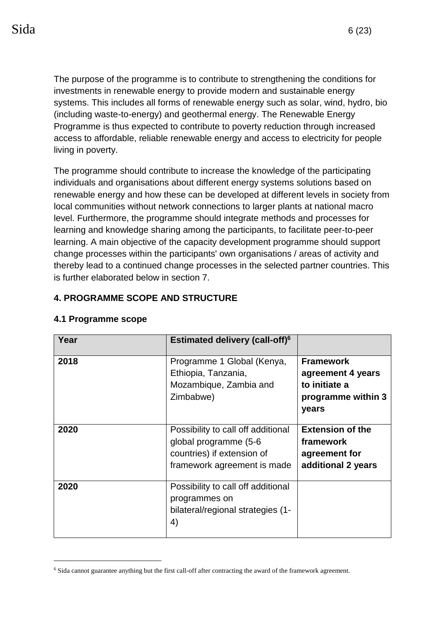The purpose of the programme is to contribute to strengthening the conditions for investments in renewable energy to provide modern and sustainable energy systems. This includes all forms of renewable energy such as solar, wind, hydro, bio (including waste-to-energy) and geothermal energy. The Renewable Energy Programme is thus expected to contribute to poverty reduction through increased access to affordable, reliable renewable energy and access to electricity for people living in poverty.

The programme should contribute to increase the knowledge of the participating individuals and organisations about different energy systems solutions based on renewable energy and how these can be developed at different levels in society from local communities without network connections to larger plants at national macro level. Furthermore, the programme should integrate methods and processes for learning and knowledge sharing among the participants, to facilitate peer-to-peer learning. A main objective of the capacity development programme should support change processes within the participants' own organisations / areas of activity and thereby lead to a continued change processes in the selected partner countries. This is further elaborated below in section 7.

# **4. PROGRAMME SCOPE AND STRUCTURE**

| Year | <b>Estimated delivery (call-off)<sup>6</sup></b>                                                                         |                                                                                       |
|------|--------------------------------------------------------------------------------------------------------------------------|---------------------------------------------------------------------------------------|
| 2018 | Programme 1 Global (Kenya,<br>Ethiopia, Tanzania,<br>Mozambique, Zambia and<br>Zimbabwe)                                 | <b>Framework</b><br>agreement 4 years<br>to initiate a<br>programme within 3<br>years |
| 2020 | Possibility to call off additional<br>global programme (5-6<br>countries) if extension of<br>framework agreement is made | <b>Extension of the</b><br>framework<br>agreement for<br>additional 2 years           |
| 2020 | Possibility to call off additional<br>programmes on<br>bilateral/regional strategies (1-<br>4)                           |                                                                                       |

#### **4.1 Programme scope**

1

<sup>6</sup> Sida cannot guarantee anything but the first call-off after contracting the award of the framework agreement.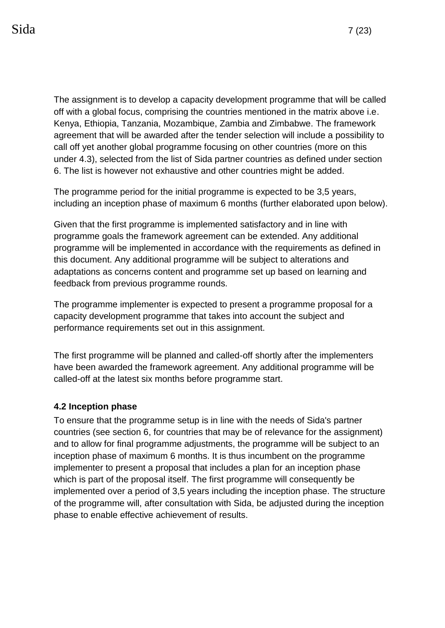The assignment is to develop a capacity development programme that will be called off with a global focus, comprising the countries mentioned in the matrix above i.e. Kenya, Ethiopia, Tanzania, Mozambique, Zambia and Zimbabwe. The framework agreement that will be awarded after the tender selection will include a possibility to call off yet another global programme focusing on other countries (more on this under 4.3), selected from the list of Sida partner countries as defined under section 6. The list is however not exhaustive and other countries might be added.

The programme period for the initial programme is expected to be 3,5 years, including an inception phase of maximum 6 months (further elaborated upon below).

Given that the first programme is implemented satisfactory and in line with programme goals the framework agreement can be extended. Any additional programme will be implemented in accordance with the requirements as defined in this document. Any additional programme will be subject to alterations and adaptations as concerns content and programme set up based on learning and feedback from previous programme rounds.

The programme implementer is expected to present a programme proposal for a capacity development programme that takes into account the subject and performance requirements set out in this assignment.

The first programme will be planned and called-off shortly after the implementers have been awarded the framework agreement. Any additional programme will be called-off at the latest six months before programme start.

#### **4.2 Inception phase**

To ensure that the programme setup is in line with the needs of Sida's partner countries (see section 6, for countries that may be of relevance for the assignment) and to allow for final programme adjustments, the programme will be subject to an inception phase of maximum 6 months. It is thus incumbent on the programme implementer to present a proposal that includes a plan for an inception phase which is part of the proposal itself. The first programme will consequently be implemented over a period of 3,5 years including the inception phase. The structure of the programme will, after consultation with Sida, be adjusted during the inception phase to enable effective achievement of results.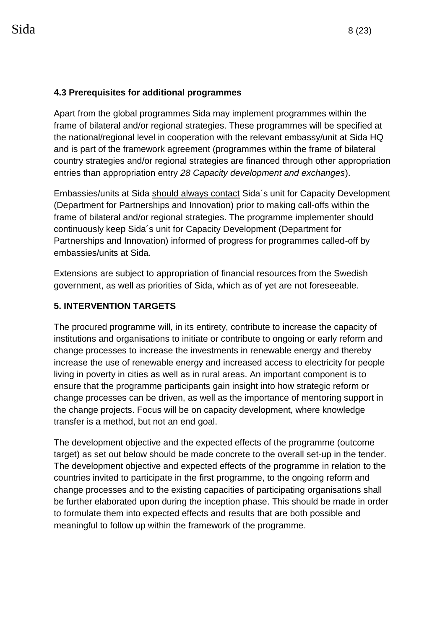## **4.3 Prerequisites for additional programmes**

Apart from the global programmes Sida may implement programmes within the frame of bilateral and/or regional strategies. These programmes will be specified at the national/regional level in cooperation with the relevant embassy/unit at Sida HQ and is part of the framework agreement (programmes within the frame of bilateral country strategies and/or regional strategies are financed through other appropriation entries than appropriation entry *28 Capacity development and exchanges*).

Embassies/units at Sida should always contact Sida´s unit for Capacity Development (Department for Partnerships and Innovation) prior to making call-offs within the frame of bilateral and/or regional strategies. The programme implementer should continuously keep Sida´s unit for Capacity Development (Department for Partnerships and Innovation) informed of progress for programmes called-off by embassies/units at Sida.

Extensions are subject to appropriation of financial resources from the Swedish government, as well as priorities of Sida, which as of yet are not foreseeable.

# **5. INTERVENTION TARGETS**

The procured programme will, in its entirety, contribute to increase the capacity of institutions and organisations to initiate or contribute to ongoing or early reform and change processes to increase the investments in renewable energy and thereby increase the use of renewable energy and increased access to electricity for people living in poverty in cities as well as in rural areas. An important component is to ensure that the programme participants gain insight into how strategic reform or change processes can be driven, as well as the importance of mentoring support in the change projects. Focus will be on capacity development, where knowledge transfer is a method, but not an end goal.

The development objective and the expected effects of the programme (outcome target) as set out below should be made concrete to the overall set-up in the tender. The development objective and expected effects of the programme in relation to the countries invited to participate in the first programme, to the ongoing reform and change processes and to the existing capacities of participating organisations shall be further elaborated upon during the inception phase. This should be made in order to formulate them into expected effects and results that are both possible and meaningful to follow up within the framework of the programme.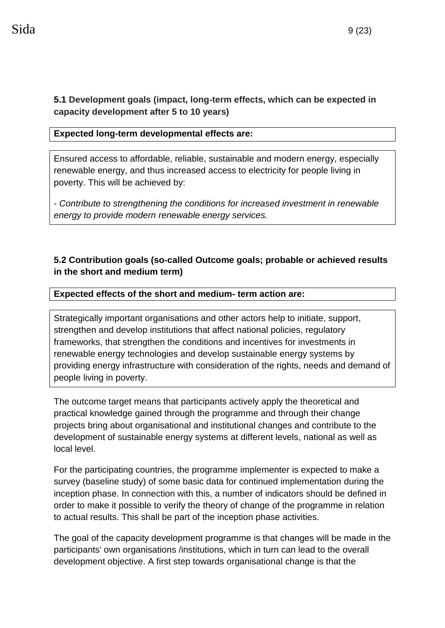## **5.1 Development goals (impact, long-term effects, which can be expected in capacity development after 5 to 10 years)**

## **Expected long-term developmental effects are:**

Ensured access to affordable, reliable, sustainable and modern energy, especially renewable energy, and thus increased access to electricity for people living in poverty. This will be achieved by:

- *Contribute to strengthening the conditions for increased investment in renewable energy to provide modern renewable energy services.*

# **5.2 Contribution goals (so-called Outcome goals; probable or achieved results in the short and medium term)**

#### **Expected effects of the short and medium- term action are:**

Strategically important organisations and other actors help to initiate, support, strengthen and develop institutions that affect national policies, regulatory frameworks, that strengthen the conditions and incentives for investments in renewable energy technologies and develop sustainable energy systems by providing energy infrastructure with consideration of the rights, needs and demand of people living in poverty.

The outcome target means that participants actively apply the theoretical and practical knowledge gained through the programme and through their change projects bring about organisational and institutional changes and contribute to the development of sustainable energy systems at different levels, national as well as local level.

For the participating countries, the programme implementer is expected to make a survey (baseline study) of some basic data for continued implementation during the inception phase. In connection with this, a number of indicators should be defined in order to make it possible to verify the theory of change of the programme in relation to actual results. This shall be part of the inception phase activities.

The goal of the capacity development programme is that changes will be made in the participants' own organisations /institutions, which in turn can lead to the overall development objective. A first step towards organisational change is that the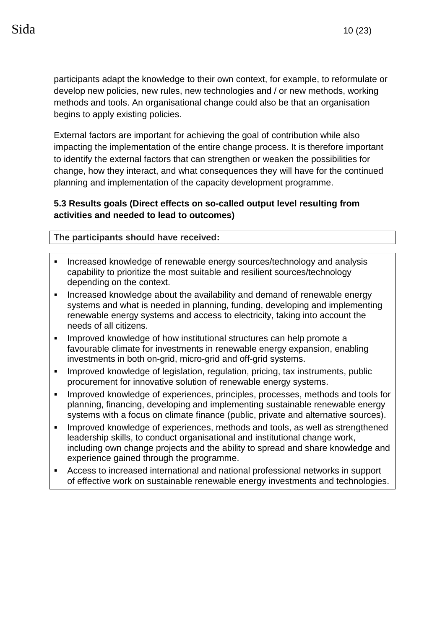participants adapt the knowledge to their own context, for example, to reformulate or develop new policies, new rules, new technologies and / or new methods, working methods and tools. An organisational change could also be that an organisation begins to apply existing policies.

External factors are important for achieving the goal of contribution while also impacting the implementation of the entire change process. It is therefore important to identify the external factors that can strengthen or weaken the possibilities for change, how they interact, and what consequences they will have for the continued planning and implementation of the capacity development programme.

## **5.3 Results goals (Direct effects on so-called output level resulting from activities and needed to lead to outcomes)**

#### **The participants should have received:**

- Increased knowledge of renewable energy sources/technology and analysis capability to prioritize the most suitable and resilient sources/technology depending on the context.
- **EXED Increased knowledge about the availability and demand of renewable energy** systems and what is needed in planning, funding, developing and implementing renewable energy systems and access to electricity, taking into account the needs of all citizens.
- **.** Improved knowledge of how institutional structures can help promote a favourable climate for investments in renewable energy expansion, enabling investments in both on-grid, micro-grid and off-grid systems.
- **Improved knowledge of legislation, regulation, pricing, tax instruments, public** procurement for innovative solution of renewable energy systems.
- **·** Improved knowledge of experiences, principles, processes, methods and tools for planning, financing, developing and implementing sustainable renewable energy systems with a focus on climate finance (public, private and alternative sources).
- **.** Improved knowledge of experiences, methods and tools, as well as strengthened leadership skills, to conduct organisational and institutional change work, including own change projects and the ability to spread and share knowledge and experience gained through the programme.
- Access to increased international and national professional networks in support of effective work on sustainable renewable energy investments and technologies.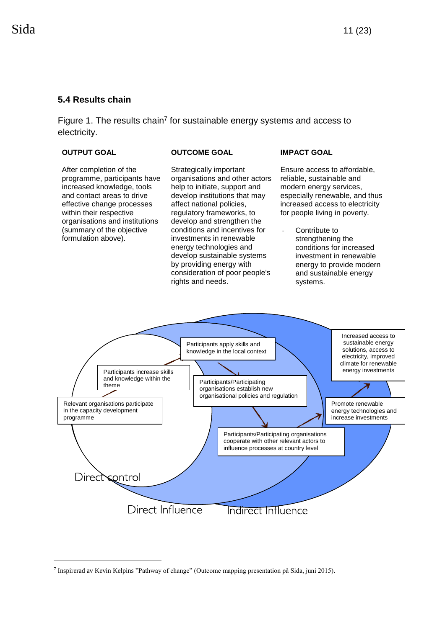#### **5.4 Results chain**

Figure 1. The results chain<sup>7</sup> for sustainable energy systems and access to electricity.

#### **OUTPUT GOAL OUTCOME GOAL IMPACT GOAL**

1

After completion of the programme, participants have increased knowledge, tools and contact areas to drive effective change processes within their respective organisations and institutions (summary of the objective formulation above).

Strategically important organisations and other actors help to initiate, support and develop institutions that may affect national policies, regulatory frameworks, to develop and strengthen the conditions and incentives for investments in renewable energy technologies and develop sustainable systems by providing energy with consideration of poor people's rights and needs.

Ensure access to affordable, reliable, sustainable and modern energy services, especially renewable, and thus increased access to electricity for people living in poverty.

*-* Contribute to strengthening the conditions for increased investment in renewable energy to provide modern and sustainable energy systems.



<sup>7</sup> Inspirerad av Kevin Kelpins "Pathway of change" (Outcome mapping presentation på Sida, juni 2015).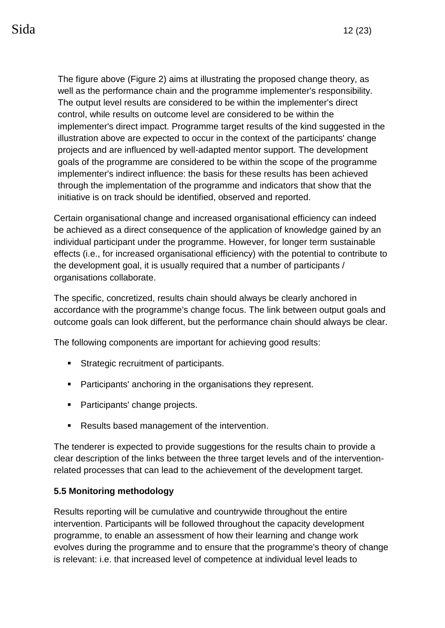The figure above (Figure 2) aims at illustrating the proposed change theory, as well as the performance chain and the programme implementer's responsibility. The output level results are considered to be within the implementer's direct control, while results on outcome level are considered to be within the implementer's direct impact. Programme target results of the kind suggested in the illustration above are expected to occur in the context of the participants' change projects and are influenced by well-adapted mentor support. The development goals of the programme are considered to be within the scope of the programme implementer's indirect influence: the basis for these results has been achieved through the implementation of the programme and indicators that show that the initiative is on track should be identified, observed and reported.

Certain organisational change and increased organisational efficiency can indeed be achieved as a direct consequence of the application of knowledge gained by an individual participant under the programme. However, for longer term sustainable effects (i.e., for increased organisational efficiency) with the potential to contribute to the development goal, it is usually required that a number of participants / organisations collaborate.

The specific, concretized, results chain should always be clearly anchored in accordance with the programme's change focus. The link between output goals and outcome goals can look different, but the performance chain should always be clear.

The following components are important for achieving good results:

- **EXECUTE:** Strategic recruitment of participants.
- Participants' anchoring in the organisations they represent.
- Participants' change projects.
- Results based management of the intervention.

The tenderer is expected to provide suggestions for the results chain to provide a clear description of the links between the three target levels and of the interventionrelated processes that can lead to the achievement of the development target.

#### **5.5 Monitoring methodology**

Results reporting will be cumulative and countrywide throughout the entire intervention. Participants will be followed throughout the capacity development programme, to enable an assessment of how their learning and change work evolves during the programme and to ensure that the programme's theory of change is relevant: i.e. that increased level of competence at individual level leads to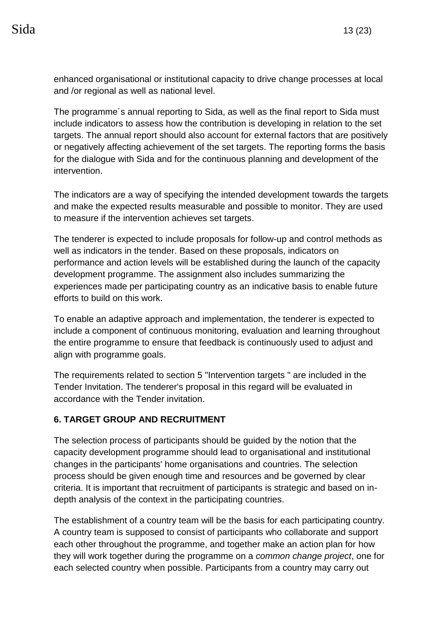enhanced organisational or institutional capacity to drive change processes at local and /or regional as well as national level.

The programme´s annual reporting to Sida, as well as the final report to Sida must include indicators to assess how the contribution is developing in relation to the set targets. The annual report should also account for external factors that are positively or negatively affecting achievement of the set targets. The reporting forms the basis for the dialogue with Sida and for the continuous planning and development of the intervention.

The indicators are a way of specifying the intended development towards the targets and make the expected results measurable and possible to monitor. They are used to measure if the intervention achieves set targets.

The tenderer is expected to include proposals for follow-up and control methods as well as indicators in the tender. Based on these proposals, indicators on performance and action levels will be established during the launch of the capacity development programme. The assignment also includes summarizing the experiences made per participating country as an indicative basis to enable future efforts to build on this work.

To enable an adaptive approach and implementation, the tenderer is expected to include a component of continuous monitoring, evaluation and learning throughout the entire programme to ensure that feedback is continuously used to adjust and align with programme goals.

The requirements related to section 5 "Intervention targets " are included in the Tender Invitation. The tenderer's proposal in this regard will be evaluated in accordance with the Tender invitation.

#### **6. TARGET GROUP AND RECRUITMENT**

The selection process of participants should be guided by the notion that the capacity development programme should lead to organisational and institutional changes in the participants' home organisations and countries. The selection process should be given enough time and resources and be governed by clear criteria. It is important that recruitment of participants is strategic and based on indepth analysis of the context in the participating countries.

The establishment of a country team will be the basis for each participating country. A country team is supposed to consist of participants who collaborate and support each other throughout the programme, and together make an action plan for how they will work together during the programme on a *common change project*, one for each selected country when possible. Participants from a country may carry out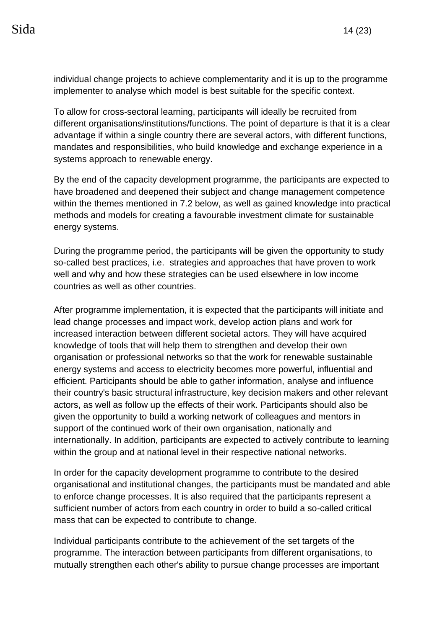individual change projects to achieve complementarity and it is up to the programme implementer to analyse which model is best suitable for the specific context.

To allow for cross-sectoral learning, participants will ideally be recruited from different organisations/institutions/functions. The point of departure is that it is a clear advantage if within a single country there are several actors, with different functions, mandates and responsibilities, who build knowledge and exchange experience in a systems approach to renewable energy.

By the end of the capacity development programme, the participants are expected to have broadened and deepened their subject and change management competence within the themes mentioned in 7.2 below, as well as gained knowledge into practical methods and models for creating a favourable investment climate for sustainable energy systems.

During the programme period, the participants will be given the opportunity to study so-called best practices, i.e. strategies and approaches that have proven to work well and why and how these strategies can be used elsewhere in low income countries as well as other countries.

After programme implementation, it is expected that the participants will initiate and lead change processes and impact work, develop action plans and work for increased interaction between different societal actors. They will have acquired knowledge of tools that will help them to strengthen and develop their own organisation or professional networks so that the work for renewable sustainable energy systems and access to electricity becomes more powerful, influential and efficient. Participants should be able to gather information, analyse and influence their country's basic structural infrastructure, key decision makers and other relevant actors, as well as follow up the effects of their work. Participants should also be given the opportunity to build a working network of colleagues and mentors in support of the continued work of their own organisation, nationally and internationally. In addition, participants are expected to actively contribute to learning within the group and at national level in their respective national networks.

In order for the capacity development programme to contribute to the desired organisational and institutional changes, the participants must be mandated and able to enforce change processes. It is also required that the participants represent a sufficient number of actors from each country in order to build a so-called critical mass that can be expected to contribute to change.

Individual participants contribute to the achievement of the set targets of the programme. The interaction between participants from different organisations, to mutually strengthen each other's ability to pursue change processes are important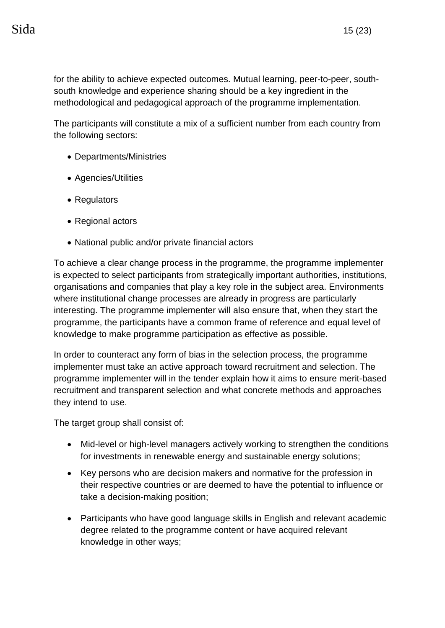for the ability to achieve expected outcomes. Mutual learning, peer-to-peer, southsouth knowledge and experience sharing should be a key ingredient in the methodological and pedagogical approach of the programme implementation.

The participants will constitute a mix of a sufficient number from each country from the following sectors:

- Departments/Ministries
- Agencies/Utilities
- Regulators
- Regional actors
- National public and/or private financial actors

To achieve a clear change process in the programme, the programme implementer is expected to select participants from strategically important authorities, institutions, organisations and companies that play a key role in the subject area. Environments where institutional change processes are already in progress are particularly interesting. The programme implementer will also ensure that, when they start the programme, the participants have a common frame of reference and equal level of knowledge to make programme participation as effective as possible.

In order to counteract any form of bias in the selection process, the programme implementer must take an active approach toward recruitment and selection. The programme implementer will in the tender explain how it aims to ensure merit-based recruitment and transparent selection and what concrete methods and approaches they intend to use.

The target group shall consist of:

- Mid-level or high-level managers actively working to strengthen the conditions for investments in renewable energy and sustainable energy solutions;
- Key persons who are decision makers and normative for the profession in their respective countries or are deemed to have the potential to influence or take a decision-making position;
- Participants who have good language skills in English and relevant academic degree related to the programme content or have acquired relevant knowledge in other ways;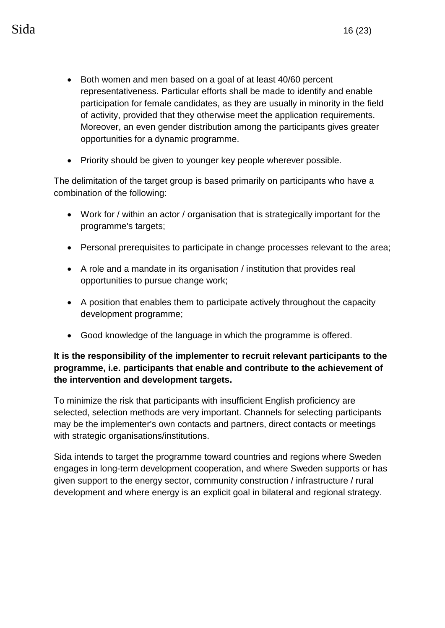- Both women and men based on a goal of at least 40/60 percent representativeness. Particular efforts shall be made to identify and enable participation for female candidates, as they are usually in minority in the field of activity, provided that they otherwise meet the application requirements. Moreover, an even gender distribution among the participants gives greater opportunities for a dynamic programme.
- Priority should be given to younger key people wherever possible.

The delimitation of the target group is based primarily on participants who have a combination of the following:

- Work for / within an actor / organisation that is strategically important for the programme's targets;
- Personal prerequisites to participate in change processes relevant to the area;
- A role and a mandate in its organisation / institution that provides real opportunities to pursue change work;
- A position that enables them to participate actively throughout the capacity development programme;
- Good knowledge of the language in which the programme is offered.

## **It is the responsibility of the implementer to recruit relevant participants to the programme, i.e. participants that enable and contribute to the achievement of the intervention and development targets.**

To minimize the risk that participants with insufficient English proficiency are selected, selection methods are very important. Channels for selecting participants may be the implementer's own contacts and partners, direct contacts or meetings with strategic organisations/institutions.

Sida intends to target the programme toward countries and regions where Sweden engages in long-term development cooperation, and where Sweden supports or has given support to the energy sector, community construction / infrastructure / rural development and where energy is an explicit goal in bilateral and regional strategy.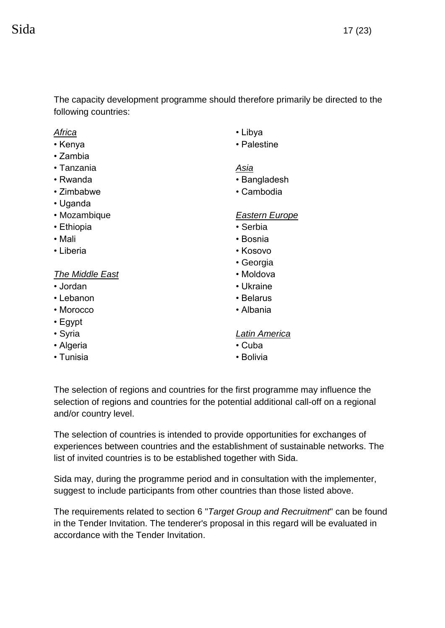The capacity development programme should therefore primarily be directed to the following countries:

#### *Africa*

- Kenya
- Zambia
- Tanzania
- Rwanda
- Zimbabwe
- Uganda
- Mozambique
- Ethiopia
- Mali
- Liberia

## *The Middle East*

- Jordan
- Lebanon
- Morocco
- Egypt
- Syria
- Algeria
- Tunisia
- Libya
- Palestine

#### *Asia*

- Bangladesh
- Cambodia

#### *Eastern Europe*

- Serbia
- Bosnia
- Kosovo
- Georgia
- Moldova
- Ukraine
- Belarus
- Albania

#### *Latin America*

- Cuba
- Bolivia

The selection of regions and countries for the first programme may influence the selection of regions and countries for the potential additional call-off on a regional and/or country level.

The selection of countries is intended to provide opportunities for exchanges of experiences between countries and the establishment of sustainable networks. The list of invited countries is to be established together with Sida.

Sida may, during the programme period and in consultation with the implementer, suggest to include participants from other countries than those listed above.

The requirements related to section 6 "*Target Group and Recruitment*" can be found in the Tender Invitation. The tenderer's proposal in this regard will be evaluated in accordance with the Tender Invitation.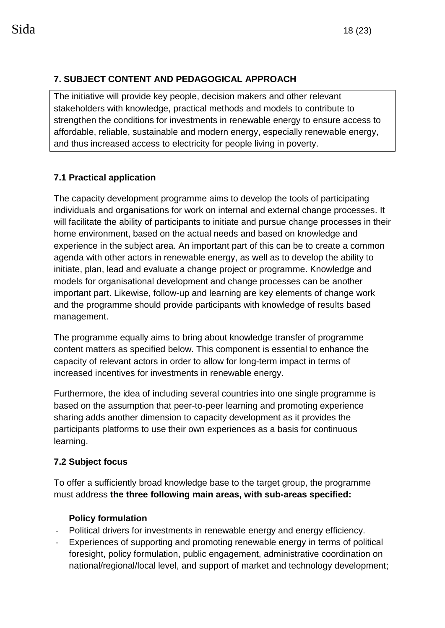# **7. SUBJECT CONTENT AND PEDAGOGICAL APPROACH**

The initiative will provide key people, decision makers and other relevant stakeholders with knowledge, practical methods and models to contribute to strengthen the conditions for investments in renewable energy to ensure access to affordable, reliable, sustainable and modern energy, especially renewable energy, and thus increased access to electricity for people living in poverty.

# **7.1 Practical application**

The capacity development programme aims to develop the tools of participating individuals and organisations for work on internal and external change processes. It will facilitate the ability of participants to initiate and pursue change processes in their home environment, based on the actual needs and based on knowledge and experience in the subject area. An important part of this can be to create a common agenda with other actors in renewable energy, as well as to develop the ability to initiate, plan, lead and evaluate a change project or programme. Knowledge and models for organisational development and change processes can be another important part. Likewise, follow-up and learning are key elements of change work and the programme should provide participants with knowledge of results based management.

The programme equally aims to bring about knowledge transfer of programme content matters as specified below. This component is essential to enhance the capacity of relevant actors in order to allow for long-term impact in terms of increased incentives for investments in renewable energy.

Furthermore, the idea of including several countries into one single programme is based on the assumption that peer-to-peer learning and promoting experience sharing adds another dimension to capacity development as it provides the participants platforms to use their own experiences as a basis for continuous learning.

#### **7.2 Subject focus**

To offer a sufficiently broad knowledge base to the target group, the programme must address **the three following main areas, with sub-areas specified:** 

#### **Policy formulation**

- *-* Political drivers for investments in renewable energy and energy efficiency.
- Experiences of supporting and promoting renewable energy in terms of political foresight, policy formulation, public engagement, administrative coordination on national/regional/local level, and support of market and technology development;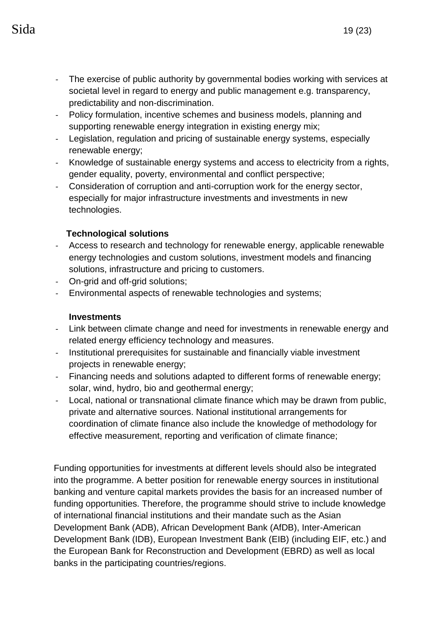- *-* The exercise of public authority by governmental bodies working with services at societal level in regard to energy and public management e.g. transparency, predictability and non-discrimination.
- *-* Policy formulation, incentive schemes and business models, planning and supporting renewable energy integration in existing energy mix;
- *-* Legislation, regulation and pricing of sustainable energy systems, especially renewable energy;
- *-* Knowledge of sustainable energy systems and access to electricity from a rights, gender equality, poverty, environmental and conflict perspective;
- *-* Consideration of corruption and anti-corruption work for the energy sector, especially for major infrastructure investments and investments in new technologies.

# **Technological solutions**

- *-* Access to research and technology for renewable energy, applicable renewable energy technologies and custom solutions, investment models and financing solutions, infrastructure and pricing to customers.
- *-* On-grid and off-grid solutions;
- *-* Environmental aspects of renewable technologies and systems;

# **Investments**

- *-* Link between climate change and need for investments in renewable energy and related energy efficiency technology and measures.
- *-* Institutional prerequisites for sustainable and financially viable investment projects in renewable energy;
- *-* Financing needs and solutions adapted to different forms of renewable energy; solar, wind, hydro, bio and geothermal energy;
- *-* Local, national or transnational climate finance which may be drawn from public, private and alternative sources. National institutional arrangements for coordination of climate finance also include the knowledge of methodology for effective measurement, reporting and verification of climate finance;

Funding opportunities for investments at different levels should also be integrated into the programme. A better position for renewable energy sources in institutional banking and venture capital markets provides the basis for an increased number of funding opportunities. Therefore, the programme should strive to include knowledge of international financial institutions and their mandate such as the Asian Development Bank (ADB), African Development Bank (AfDB), Inter-American Development Bank (IDB), European Investment Bank (EIB) (including EIF, etc.) and the European Bank for Reconstruction and Development (EBRD) as well as local banks in the participating countries/regions.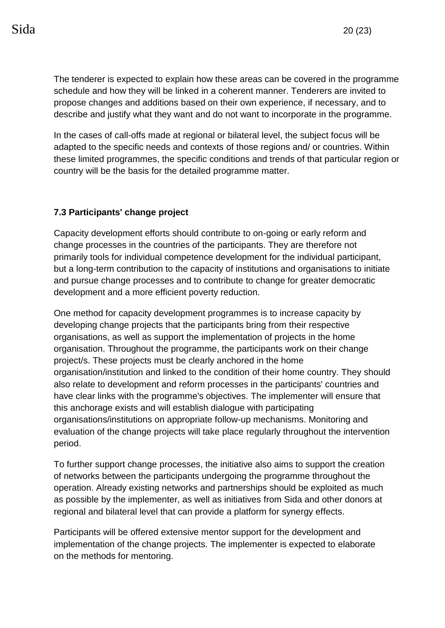The tenderer is expected to explain how these areas can be covered in the programme schedule and how they will be linked in a coherent manner. Tenderers are invited to propose changes and additions based on their own experience, if necessary, and to describe and justify what they want and do not want to incorporate in the programme.

In the cases of call-offs made at regional or bilateral level, the subject focus will be adapted to the specific needs and contexts of those regions and/ or countries. Within these limited programmes, the specific conditions and trends of that particular region or country will be the basis for the detailed programme matter.

# **7.3 Participants' change project**

Capacity development efforts should contribute to on-going or early reform and change processes in the countries of the participants. They are therefore not primarily tools for individual competence development for the individual participant, but a long-term contribution to the capacity of institutions and organisations to initiate and pursue change processes and to contribute to change for greater democratic development and a more efficient poverty reduction.

One method for capacity development programmes is to increase capacity by developing change projects that the participants bring from their respective organisations, as well as support the implementation of projects in the home organisation. Throughout the programme, the participants work on their change project/s. These projects must be clearly anchored in the home organisation/institution and linked to the condition of their home country. They should also relate to development and reform processes in the participants' countries and have clear links with the programme's objectives. The implementer will ensure that this anchorage exists and will establish dialogue with participating organisations/institutions on appropriate follow-up mechanisms. Monitoring and evaluation of the change projects will take place regularly throughout the intervention period.

To further support change processes, the initiative also aims to support the creation of networks between the participants undergoing the programme throughout the operation. Already existing networks and partnerships should be exploited as much as possible by the implementer, as well as initiatives from Sida and other donors at regional and bilateral level that can provide a platform for synergy effects.

Participants will be offered extensive mentor support for the development and implementation of the change projects. The implementer is expected to elaborate on the methods for mentoring.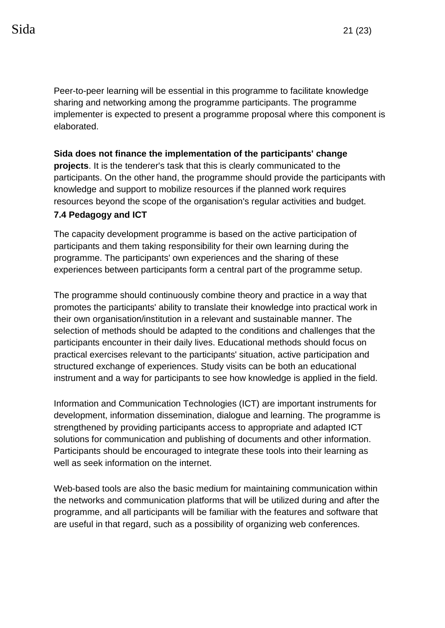Peer-to-peer learning will be essential in this programme to facilitate knowledge sharing and networking among the programme participants. The programme implementer is expected to present a programme proposal where this component is elaborated.

#### **Sida does not finance the implementation of the participants' change**

**projects**. It is the tenderer's task that this is clearly communicated to the participants. On the other hand, the programme should provide the participants with knowledge and support to mobilize resources if the planned work requires resources beyond the scope of the organisation's regular activities and budget.

#### **7.4 Pedagogy and ICT**

The capacity development programme is based on the active participation of participants and them taking responsibility for their own learning during the programme. The participants' own experiences and the sharing of these experiences between participants form a central part of the programme setup.

The programme should continuously combine theory and practice in a way that promotes the participants' ability to translate their knowledge into practical work in their own organisation/institution in a relevant and sustainable manner. The selection of methods should be adapted to the conditions and challenges that the participants encounter in their daily lives. Educational methods should focus on practical exercises relevant to the participants' situation, active participation and structured exchange of experiences. Study visits can be both an educational instrument and a way for participants to see how knowledge is applied in the field.

Information and Communication Technologies (ICT) are important instruments for development, information dissemination, dialogue and learning. The programme is strengthened by providing participants access to appropriate and adapted ICT solutions for communication and publishing of documents and other information. Participants should be encouraged to integrate these tools into their learning as well as seek information on the internet.

Web-based tools are also the basic medium for maintaining communication within the networks and communication platforms that will be utilized during and after the programme, and all participants will be familiar with the features and software that are useful in that regard, such as a possibility of organizing web conferences.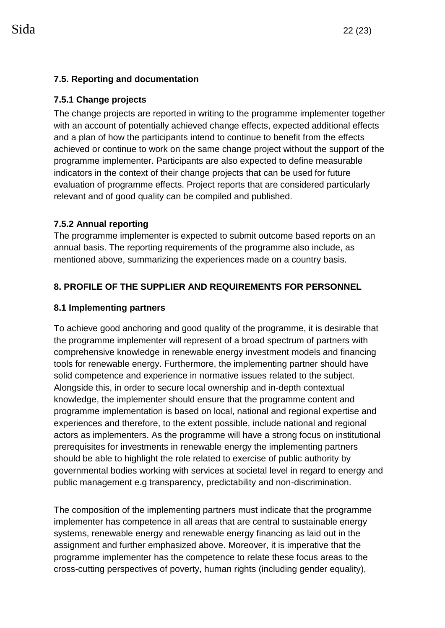## **7.5. Reporting and documentation**

## **7.5.1 Change projects**

The change projects are reported in writing to the programme implementer together with an account of potentially achieved change effects, expected additional effects and a plan of how the participants intend to continue to benefit from the effects achieved or continue to work on the same change project without the support of the programme implementer. Participants are also expected to define measurable indicators in the context of their change projects that can be used for future evaluation of programme effects. Project reports that are considered particularly relevant and of good quality can be compiled and published.

## **7.5.2 Annual reporting**

The programme implementer is expected to submit outcome based reports on an annual basis. The reporting requirements of the programme also include, as mentioned above, summarizing the experiences made on a country basis.

# **8. PROFILE OF THE SUPPLIER AND REQUIREMENTS FOR PERSONNEL**

## **8.1 Implementing partners**

To achieve good anchoring and good quality of the programme, it is desirable that the programme implementer will represent of a broad spectrum of partners with comprehensive knowledge in renewable energy investment models and financing tools for renewable energy. Furthermore, the implementing partner should have solid competence and experience in normative issues related to the subject. Alongside this, in order to secure local ownership and in-depth contextual knowledge, the implementer should ensure that the programme content and programme implementation is based on local, national and regional expertise and experiences and therefore, to the extent possible, include national and regional actors as implementers. As the programme will have a strong focus on institutional prerequisites for investments in renewable energy the implementing partners should be able to highlight the role related to exercise of public authority by governmental bodies working with services at societal level in regard to energy and public management e.g transparency, predictability and non-discrimination.

The composition of the implementing partners must indicate that the programme implementer has competence in all areas that are central to sustainable energy systems, renewable energy and renewable energy financing as laid out in the assignment and further emphasized above. Moreover, it is imperative that the programme implementer has the competence to relate these focus areas to the cross-cutting perspectives of poverty, human rights (including gender equality),